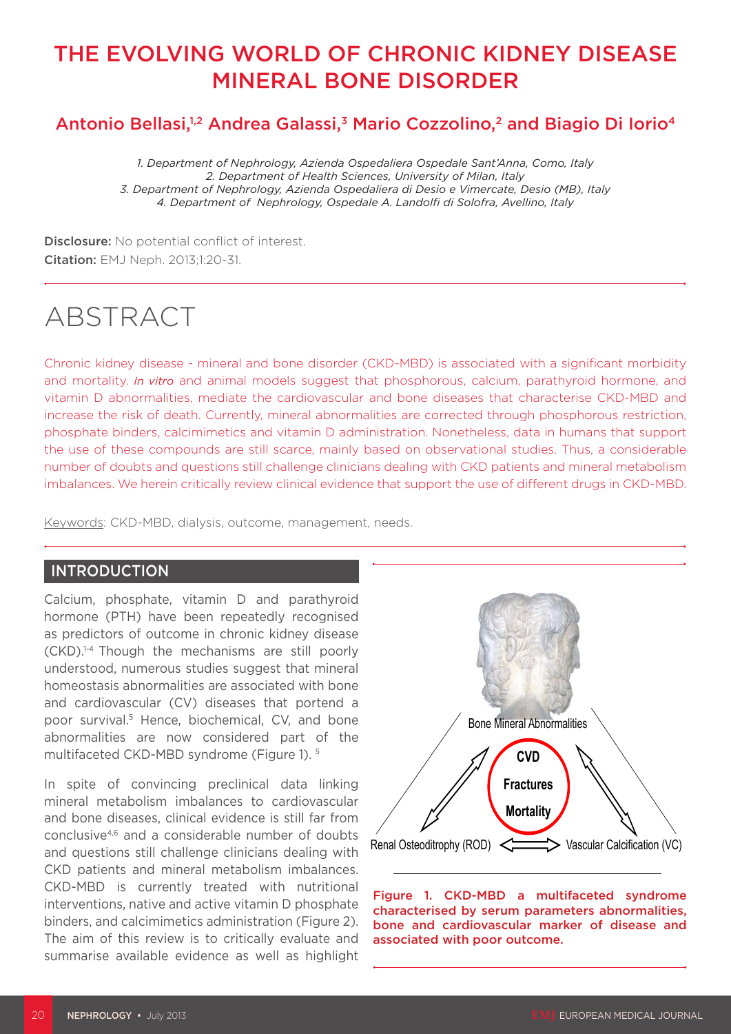# THE EVOLVING WORLD OF CHRONIC KIDNEY DISEASE MINERAL BONE DISORDER

## Antonio Bellasi,<sup>1,2</sup> Andrea Galassi,<sup>3</sup> Mario Cozzolino,<sup>2</sup> and Biagio Di Iorio<sup>4</sup>

*1. Department of Nephrology, Azienda Ospedaliera Ospedale Sant'Anna, Como, Italy 2. Department of Health Sciences, University of Milan, Italy 3. Department of Nephrology, Azienda Ospedaliera di Desio e Vimercate, Desio (MB), Italy 4. Department of Nephrology, Ospedale A. Landolfi di Solofra, Avellino, Italy*

Disclosure: No potential conflict of interest. Citation: EMJ Neph. 2013;1:20-31.

# ABSTRACT

Chronic kidney disease - mineral and bone disorder (CKD-MBD) is associated with a significant morbidity and mortality. *In vitro* and animal models suggest that phosphorous, calcium, parathyroid hormone, and vitamin D abnormalities, mediate the cardiovascular and bone diseases that characterise CKD-MBD and increase the risk of death. Currently, mineral abnormalities are corrected through phosphorous restriction, phosphate binders, calcimimetics and vitamin D administration. Nonetheless, data in humans that support the use of these compounds are still scarce, mainly based on observational studies. Thus, a considerable number of doubts and questions still challenge clinicians dealing with CKD patients and mineral metabolism imbalances. We herein critically review clinical evidence that support the use of different drugs in CKD-MBD.

Keywords: CKD-MBD, dialysis, outcome, management, needs.

#### **INTRODUCTION**

Calcium, phosphate, vitamin D and parathyroid hormone (PTH) have been repeatedly recognised as predictors of outcome in chronic kidney disease (CKD).1-4 Though the mechanisms are still poorly understood, numerous studies suggest that mineral homeostasis abnormalities are associated with bone and cardiovascular (CV) diseases that portend a poor survival.5 Hence, biochemical, CV, and bone abnormalities are now considered part of the multifaceted CKD-MBD syndrome (Figure 1). 5

In spite of convincing preclinical data linking mineral metabolism imbalances to cardiovascular and bone diseases, clinical evidence is still far from conclusive4,6 and a considerable number of doubts and questions still challenge clinicians dealing with CKD patients and mineral metabolism imbalances. CKD-MBD is currently treated with nutritional interventions, native and active vitamin D phosphate binders, and calcimimetics administration (Figure 2). The aim of this review is to critically evaluate and summarise available evidence as well as highlight



Figure 1. CKD-MBD a multifaceted syndrome characterised by serum parameters abnormalities, bone and cardiovascular marker of disease and associated with poor outcome.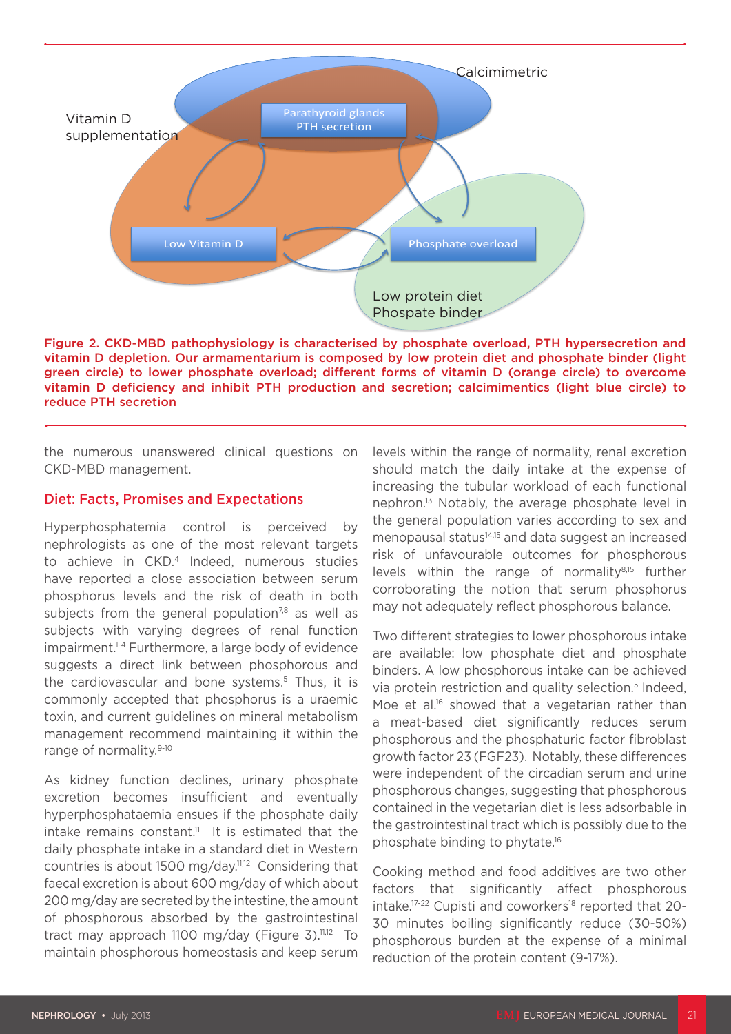

Figure 2. CKD-MBD pathophysiology is characterised by phosphate overload, PTH hypersecretion and vitamin D depletion. Our armamentarium is composed by low protein diet and phosphate binder (light green circle) to lower phosphate overload; different forms of vitamin D (orange circle) to overcome vitamin D deficiency and inhibit PTH production and secretion; calcimimentics (light blue circle) to reduce PTH secretion

the numerous unanswered clinical questions on CKD-MBD management.

#### Diet: Facts, Promises and Expectations

Hyperphosphatemia control is perceived by nephrologists as one of the most relevant targets to achieve in CKD.4 Indeed, numerous studies have reported a close association between serum phosphorus levels and the risk of death in both subjects from the general population<sup>7,8</sup> as well as subjects with varying degrees of renal function impairment.1-4 Furthermore, a large body of evidence suggests a direct link between phosphorous and the cardiovascular and bone systems.<sup>5</sup> Thus, it is commonly accepted that phosphorus is a uraemic toxin, and current guidelines on mineral metabolism management recommend maintaining it within the range of normality.<sup>9-10</sup>

As kidney function declines, urinary phosphate excretion becomes insufficient and eventually hyperphosphataemia ensues if the phosphate daily intake remains constant.<sup>11</sup> It is estimated that the daily phosphate intake in a standard diet in Western countries is about 1500 mg/day.11,12 Considering that faecal excretion is about 600 mg/day of which about 200 mg/day are secreted by the intestine, the amount of phosphorous absorbed by the gastrointestinal tract may approach 1100 mg/day (Figure 3). $11,12$  To maintain phosphorous homeostasis and keep serum

levels within the range of normality, renal excretion should match the daily intake at the expense of increasing the tubular workload of each functional nephron.13 Notably, the average phosphate level in the general population varies according to sex and menopausal status<sup>14,15</sup> and data suggest an increased risk of unfavourable outcomes for phosphorous levels within the range of normality8,15 further corroborating the notion that serum phosphorus may not adequately reflect phosphorous balance.

Two different strategies to lower phosphorous intake are available: low phosphate diet and phosphate binders. A low phosphorous intake can be achieved via protein restriction and quality selection.<sup>5</sup> Indeed, Moe et al.<sup>16</sup> showed that a vegetarian rather than a meat-based diet significantly reduces serum phosphorous and the phosphaturic factor fibroblast growth factor 23 (FGF23). Notably, these differences were independent of the circadian serum and urine phosphorous changes, suggesting that phosphorous contained in the vegetarian diet is less adsorbable in the gastrointestinal tract which is possibly due to the phosphate binding to phytate.16

Cooking method and food additives are two other factors that significantly affect phosphorous intake.<sup>17-22</sup> Cupisti and coworkers<sup>18</sup> reported that 20-30 minutes boiling significantly reduce (30-50%) phosphorous burden at the expense of a minimal reduction of the protein content (9-17%).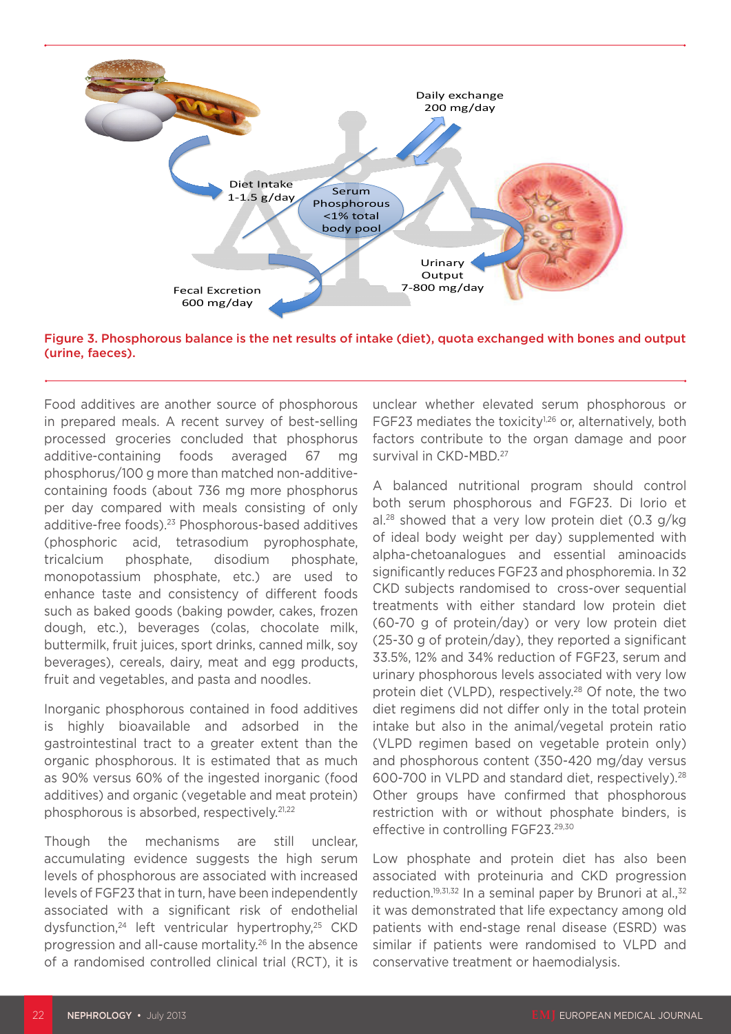

Figure 3. Phosphorous balance is the net results of intake (diet), quota exchanged with bones and output (urine, faeces).

Food additives are another source of phosphorous in prepared meals. A recent survey of best-selling processed groceries concluded that phosphorus additive-containing foods averaged 67 mg phosphorus/100 g more than matched non-additivecontaining foods (about 736 mg more phosphorus per day compared with meals consisting of only additive-free foods).23 Phosphorous-based additives (phosphoric acid, tetrasodium pyrophosphate, tricalcium phosphate, disodium phosphate, monopotassium phosphate, etc.) are used to enhance taste and consistency of different foods such as baked goods (baking powder, cakes, frozen dough, etc.), beverages (colas, chocolate milk, buttermilk, fruit juices, sport drinks, canned milk, soy beverages), cereals, dairy, meat and egg products, fruit and vegetables, and pasta and noodles.

Inorganic phosphorous contained in food additives is highly bioavailable and adsorbed in the gastrointestinal tract to a greater extent than the organic phosphorous. It is estimated that as much as 90% versus 60% of the ingested inorganic (food additives) and organic (vegetable and meat protein) phosphorous is absorbed, respectively.21,22

Though the mechanisms are still unclear, accumulating evidence suggests the high serum levels of phosphorous are associated with increased levels of FGF23 that in turn, have been independently associated with a significant risk of endothelial dysfunction,<sup>24</sup> left ventricular hypertrophy,<sup>25</sup> CKD progression and all-cause mortality.26 In the absence of a randomised controlled clinical trial (RCT), it is

unclear whether elevated serum phosphorous or FGF23 mediates the toxicity<sup>1,26</sup> or, alternatively, both factors contribute to the organ damage and poor survival in CKD-MBD.<sup>27</sup>

A balanced nutritional program should control both serum phosphorous and FGF23. Di Iorio et al.<sup>28</sup> showed that a very low protein diet  $(0.3 \, g/kg)$ of ideal body weight per day) supplemented with alpha-chetoanalogues and essential aminoacids significantly reduces FGF23 and phosphoremia. In 32 CKD subjects randomised to cross-over sequential treatments with either standard low protein diet (60-70 g of protein/day) or very low protein diet (25-30 g of protein/day), they reported a significant 33.5%, 12% and 34% reduction of FGF23, serum and urinary phosphorous levels associated with very low protein diet (VLPD), respectively.<sup>28</sup> Of note, the two diet regimens did not differ only in the total protein intake but also in the animal/vegetal protein ratio (VLPD regimen based on vegetable protein only) and phosphorous content (350-420 mg/day versus 600-700 in VLPD and standard diet, respectively).28 Other groups have confirmed that phosphorous restriction with or without phosphate binders, is effective in controlling FGF23.<sup>29,30</sup>

Low phosphate and protein diet has also been associated with proteinuria and CKD progression reduction.<sup>19,31,32</sup> In a seminal paper by Brunori at al., $32$ it was demonstrated that life expectancy among old patients with end-stage renal disease (ESRD) was similar if patients were randomised to VLPD and conservative treatment or haemodialysis.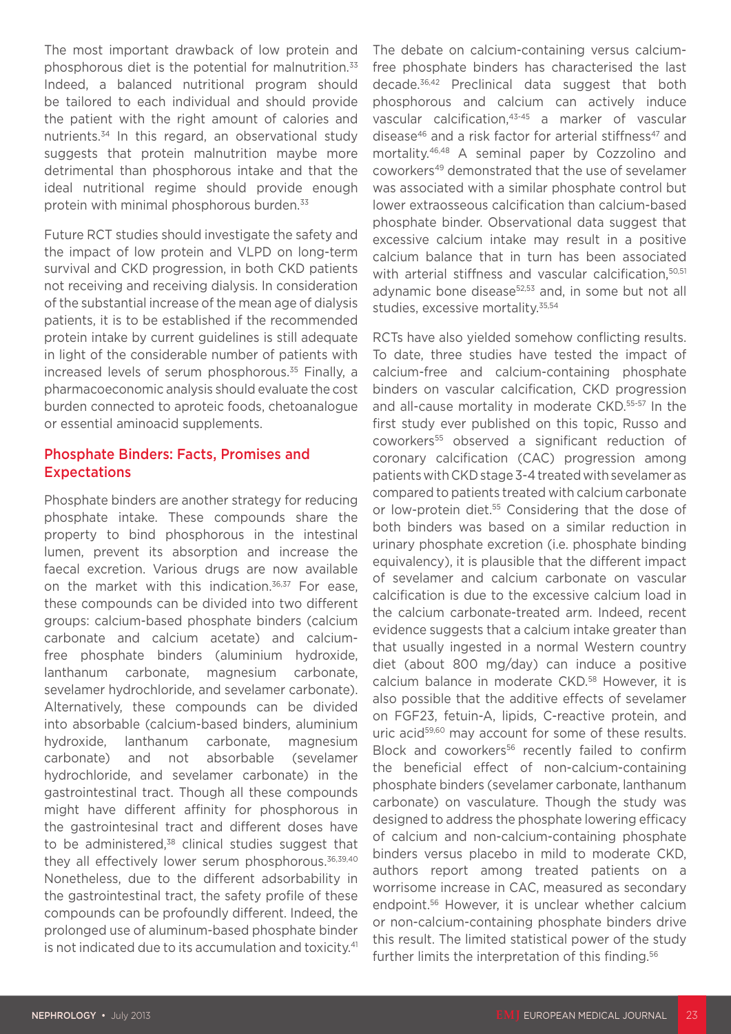The most important drawback of low protein and phosphorous diet is the potential for malnutrition.33 Indeed, a balanced nutritional program should be tailored to each individual and should provide the patient with the right amount of calories and nutrients.34 In this regard, an observational study suggests that protein malnutrition maybe more detrimental than phosphorous intake and that the ideal nutritional regime should provide enough protein with minimal phosphorous burden.<sup>33</sup>

Future RCT studies should investigate the safety and the impact of low protein and VLPD on long-term survival and CKD progression, in both CKD patients not receiving and receiving dialysis. In consideration of the substantial increase of the mean age of dialysis patients, it is to be established if the recommended protein intake by current guidelines is still adequate in light of the considerable number of patients with increased levels of serum phosphorous.<sup>35</sup> Finally, a pharmacoeconomic analysis should evaluate the cost burden connected to aproteic foods, chetoanalogue or essential aminoacid supplements.

#### Phosphate Binders: Facts, Promises and Expectations

Phosphate binders are another strategy for reducing phosphate intake. These compounds share the property to bind phosphorous in the intestinal lumen, prevent its absorption and increase the faecal excretion. Various drugs are now available on the market with this indication.<sup>36,37</sup> For ease. these compounds can be divided into two different groups: calcium-based phosphate binders (calcium carbonate and calcium acetate) and calciumfree phosphate binders (aluminium hydroxide, lanthanum carbonate, magnesium carbonate, sevelamer hydrochloride, and sevelamer carbonate). Alternatively, these compounds can be divided into absorbable (calcium-based binders, aluminium hydroxide, lanthanum carbonate, magnesium carbonate) and not absorbable (sevelamer hydrochloride, and sevelamer carbonate) in the gastrointestinal tract. Though all these compounds might have different affinity for phosphorous in the gastrointesinal tract and different doses have to be administered,<sup>38</sup> clinical studies suggest that they all effectively lower serum phosphorous.<sup>36,39,40</sup> Nonetheless, due to the different adsorbability in the gastrointestinal tract, the safety profile of these compounds can be profoundly different. Indeed, the prolonged use of aluminum-based phosphate binder is not indicated due to its accumulation and toxicity.<sup>41</sup> The debate on calcium-containing versus calciumfree phosphate binders has characterised the last decade.36,42 Preclinical data suggest that both phosphorous and calcium can actively induce vascular calcification,43-45 a marker of vascular disease<sup>46</sup> and a risk factor for arterial stiffness<sup>47</sup> and mortality.46,48 A seminal paper by Cozzolino and coworkers49 demonstrated that the use of sevelamer was associated with a similar phosphate control but lower extraosseous calcification than calcium-based phosphate binder. Observational data suggest that excessive calcium intake may result in a positive calcium balance that in turn has been associated with arterial stiffness and vascular calcification, <sup>50,51</sup> adynamic bone disease<sup>52,53</sup> and, in some but not all studies, excessive mortality.<sup>35,54</sup>

RCTs have also yielded somehow conflicting results. To date, three studies have tested the impact of calcium-free and calcium-containing phosphate binders on vascular calcification, CKD progression and all-cause mortality in moderate CKD.<sup>55-57</sup> In the first study ever published on this topic, Russo and coworkers55 observed a significant reduction of coronary calcification (CAC) progression among patients with CKD stage 3-4 treated with sevelamer as compared to patients treated with calcium carbonate or low-protein diet.<sup>55</sup> Considering that the dose of both binders was based on a similar reduction in urinary phosphate excretion (i.e. phosphate binding equivalency), it is plausible that the different impact of sevelamer and calcium carbonate on vascular calcification is due to the excessive calcium load in the calcium carbonate-treated arm. Indeed, recent evidence suggests that a calcium intake greater than that usually ingested in a normal Western country diet (about 800 mg/day) can induce a positive calcium balance in moderate CKD.<sup>58</sup> However, it is also possible that the additive effects of sevelamer on FGF23, fetuin-A, lipids, C-reactive protein, and uric acid<sup>59,60</sup> may account for some of these results. Block and coworkers<sup>56</sup> recently failed to confirm the beneficial effect of non-calcium-containing phosphate binders (sevelamer carbonate, lanthanum carbonate) on vasculature. Though the study was designed to address the phosphate lowering efficacy of calcium and non-calcium-containing phosphate binders versus placebo in mild to moderate CKD, authors report among treated patients on a worrisome increase in CAC, measured as secondary endpoint.56 However, it is unclear whether calcium or non-calcium-containing phosphate binders drive this result. The limited statistical power of the study further limits the interpretation of this finding.<sup>56</sup>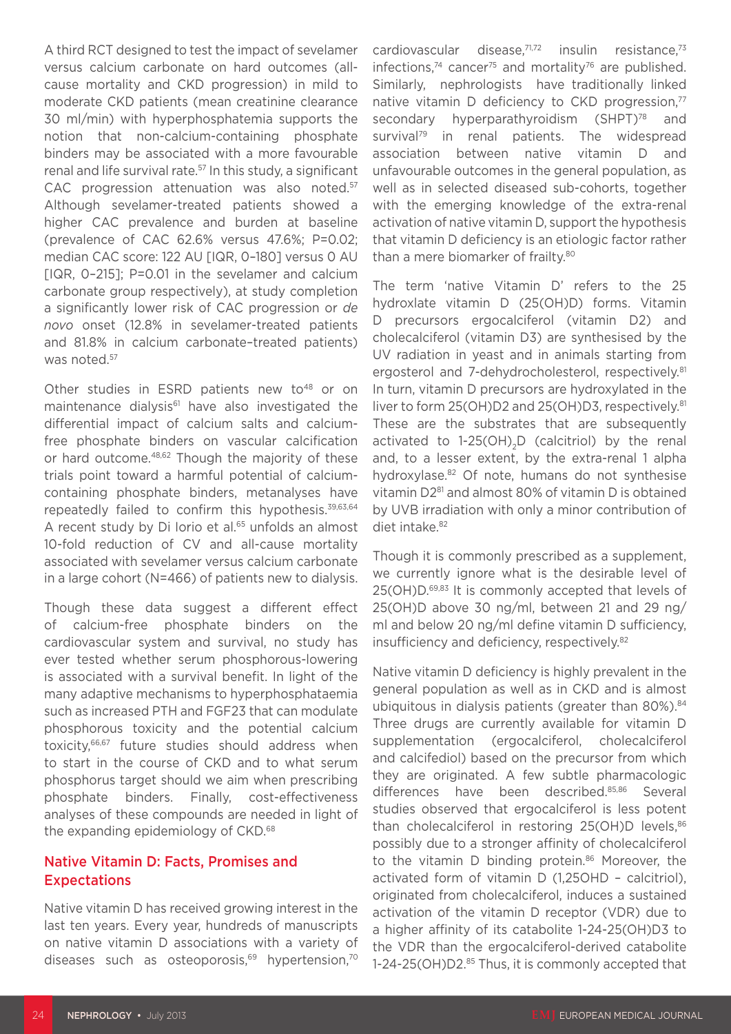A third RCT designed to test the impact of sevelamer versus calcium carbonate on hard outcomes (allcause mortality and CKD progression) in mild to moderate CKD patients (mean creatinine clearance 30 ml/min) with hyperphosphatemia supports the notion that non-calcium-containing phosphate binders may be associated with a more favourable renal and life survival rate.<sup>57</sup> In this study, a significant CAC progression attenuation was also noted.<sup>57</sup> Although sevelamer-treated patients showed a higher CAC prevalence and burden at baseline (prevalence of CAC 62.6% versus 47.6%; P=0.02; median CAC score: 122 AU [IQR, 0–180] versus 0 AU [IQR, 0–215]; P=0.01 in the sevelamer and calcium carbonate group respectively), at study completion a significantly lower risk of CAC progression or *de novo* onset (12.8% in sevelamer-treated patients and 81.8% in calcium carbonate–treated patients) was noted.<sup>57</sup>

Other studies in ESRD patients new to<sup>48</sup> or on maintenance dialysis<sup>61</sup> have also investigated the differential impact of calcium salts and calciumfree phosphate binders on vascular calcification or hard outcome.48,62 Though the majority of these trials point toward a harmful potential of calciumcontaining phosphate binders, metanalyses have repeatedly failed to confirm this hypothesis.39,63,64 A recent study by Di Iorio et al.<sup>65</sup> unfolds an almost 10-fold reduction of CV and all-cause mortality associated with sevelamer versus calcium carbonate in a large cohort (N=466) of patients new to dialysis.

Though these data suggest a different effect of calcium-free phosphate binders on the cardiovascular system and survival, no study has ever tested whether serum phosphorous-lowering is associated with a survival benefit. In light of the many adaptive mechanisms to hyperphosphataemia such as increased PTH and FGF23 that can modulate phosphorous toxicity and the potential calcium toxicity,66,67 future studies should address when to start in the course of CKD and to what serum phosphorus target should we aim when prescribing phosphate binders. Finally, cost-effectiveness analyses of these compounds are needed in light of the expanding epidemiology of CKD.<sup>68</sup>

#### Native Vitamin D: Facts, Promises and **Expectations**

Native vitamin D has received growing interest in the last ten years. Every year, hundreds of manuscripts on native vitamin D associations with a variety of diseases such as osteoporosis, $69$  hypertension, $70$  cardiovascular disease,71,72 insulin resistance,73 infections,<sup>74</sup> cancer<sup>75</sup> and mortality<sup>76</sup> are published. Similarly, nephrologists have traditionally linked native vitamin D deficiency to CKD progression.<sup>77</sup> secondary hyperparathyroidism (SHPT)<sup>78</sup> and survival<sup>79</sup> in renal patients. The widespread association between native vitamin D and unfavourable outcomes in the general population, as well as in selected diseased sub-cohorts, together with the emerging knowledge of the extra-renal activation of native vitamin D, support the hypothesis that vitamin D deficiency is an etiologic factor rather than a mere biomarker of frailty.<sup>80</sup>

The term 'native Vitamin D' refers to the 25 hydroxlate vitamin D (25(OH)D) forms. Vitamin D precursors ergocalciferol (vitamin D2) and cholecalciferol (vitamin D3) are synthesised by the UV radiation in yeast and in animals starting from ergosterol and 7-dehydrocholesterol, respectively.<sup>81</sup> In turn, vitamin D precursors are hydroxylated in the liver to form 25(OH)D2 and 25(OH)D3, respectively.<sup>81</sup> These are the substrates that are subsequently activated to  $1-25(OH)$ <sub>2</sub>D (calcitriol) by the renal and, to a lesser extent, by the extra-renal 1 alpha hydroxylase.<sup>82</sup> Of note, humans do not synthesise vitamin D281 and almost 80% of vitamin D is obtained by UVB irradiation with only a minor contribution of diet intake.<sup>82</sup>

Though it is commonly prescribed as a supplement, we currently ignore what is the desirable level of 25(OH)D.69,83 It is commonly accepted that levels of 25(OH)D above 30 ng/ml, between 21 and 29 ng/ ml and below 20 ng/ml define vitamin D sufficiency, insufficiency and deficiency, respectively.82

Native vitamin D deficiency is highly prevalent in the general population as well as in CKD and is almost ubiquitous in dialysis patients (greater than  $80\%$ ).<sup>84</sup> Three drugs are currently available for vitamin D supplementation (ergocalciferol, cholecalciferol and calcifediol) based on the precursor from which they are originated. A few subtle pharmacologic differences have been described.85,86 Several studies observed that ergocalciferol is less potent than cholecalciferol in restoring 25(OH)D levels,<sup>86</sup> possibly due to a stronger affinity of cholecalciferol to the vitamin D binding protein.<sup>86</sup> Moreover, the activated form of vitamin D (1,25OHD – calcitriol), originated from cholecalciferol, induces a sustained activation of the vitamin D receptor (VDR) due to a higher affinity of its catabolite 1-24-25(OH)D3 to the VDR than the ergocalciferol-derived catabolite 1-24-25(OH)D2.85 Thus, it is commonly accepted that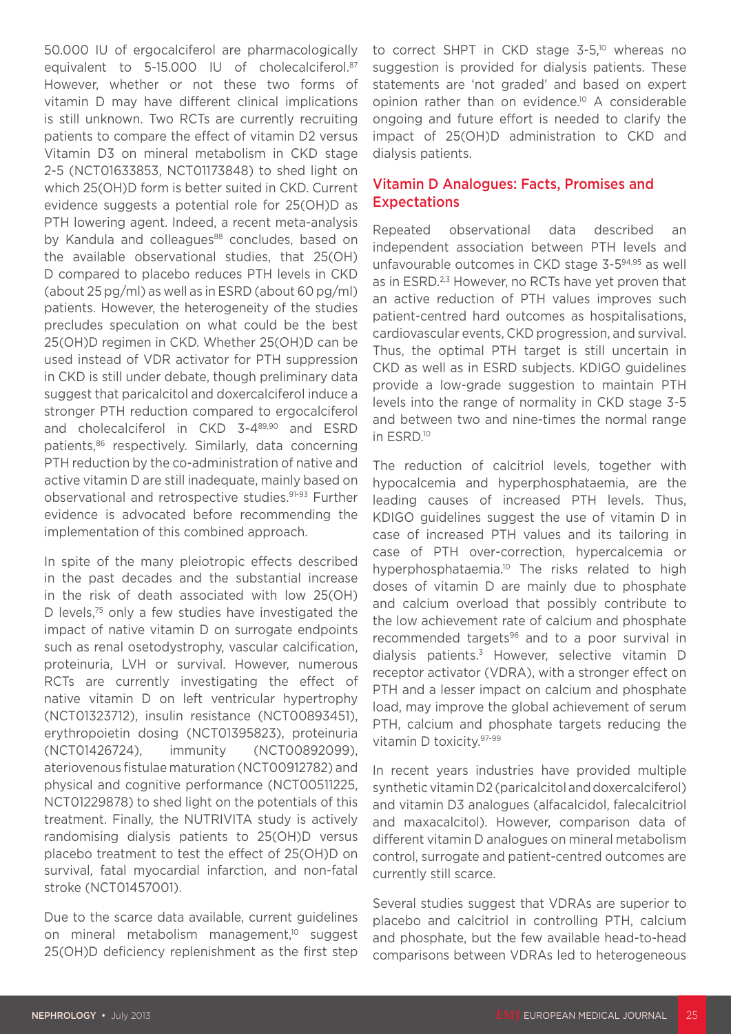50.000 IU of ergocalciferol are pharmacologically equivalent to 5-15,000 IU of cholecalciferol.<sup>87</sup> However, whether or not these two forms of vitamin D may have different clinical implications is still unknown. Two RCTs are currently recruiting patients to compare the effect of vitamin D2 versus Vitamin D3 on mineral metabolism in CKD stage 2-5 (NCT01633853, NCT01173848) to shed light on which 25(OH)D form is better suited in CKD. Current evidence suggests a potential role for 25(OH)D as PTH lowering agent. Indeed, a recent meta-analysis by Kandula and colleagues<sup>88</sup> concludes, based on the available observational studies, that 25(OH) D compared to placebo reduces PTH levels in CKD (about 25 pg/ml) as well as in ESRD (about 60 pg/ml) patients. However, the heterogeneity of the studies precludes speculation on what could be the best 25(OH)D regimen in CKD. Whether 25(OH)D can be used instead of VDR activator for PTH suppression in CKD is still under debate, though preliminary data suggest that paricalcitol and doxercalciferol induce a stronger PTH reduction compared to ergocalciferol and cholecalciferol in CKD 3-489,90 and ESRD patients,<sup>86</sup> respectively. Similarly, data concerning PTH reduction by the co-administration of native and active vitamin D are still inadequate, mainly based on observational and retrospective studies.91-93 Further evidence is advocated before recommending the implementation of this combined approach.

In spite of the many pleiotropic effects described in the past decades and the substantial increase in the risk of death associated with low 25(OH) D levels.<sup>75</sup> only a few studies have investigated the impact of native vitamin D on surrogate endpoints such as renal osetodystrophy, vascular calcification, proteinuria, LVH or survival. However, numerous RCTs are currently investigating the effect of native vitamin D on left ventricular hypertrophy (NCT01323712), insulin resistance (NCT00893451), erythropoietin dosing (NCT01395823), proteinuria (NCT01426724), immunity (NCT00892099), ateriovenous fistulae maturation (NCT00912782) and physical and cognitive performance (NCT00511225, NCT01229878) to shed light on the potentials of this treatment. Finally, the NUTRIVITA study is actively randomising dialysis patients to 25(OH)D versus placebo treatment to test the effect of 25(OH)D on survival, fatal myocardial infarction, and non-fatal stroke (NCT01457001).

Due to the scarce data available, current guidelines on mineral metabolism management,<sup>10</sup> suggest 25(OH)D deficiency replenishment as the first step to correct SHPT in CKD stage 3-5,<sup>10</sup> whereas no suggestion is provided for dialysis patients. These statements are 'not graded' and based on expert opinion rather than on evidence.10 A considerable ongoing and future effort is needed to clarify the impact of 25(OH)D administration to CKD and dialysis patients.

#### Vitamin D Analogues: Facts, Promises and Expectations

Repeated observational data described an independent association between PTH levels and unfavourable outcomes in CKD stage 3-594,95 as well as in ESRD.<sup>2,3</sup> However, no RCTs have yet proven that an active reduction of PTH values improves such patient-centred hard outcomes as hospitalisations, cardiovascular events, CKD progression, and survival. Thus, the optimal PTH target is still uncertain in CKD as well as in ESRD subjects. KDIGO guidelines provide a low-grade suggestion to maintain PTH levels into the range of normality in CKD stage 3-5 and between two and nine-times the normal range in ESRD.10

The reduction of calcitriol levels, together with hypocalcemia and hyperphosphataemia, are the leading causes of increased PTH levels. Thus, KDIGO guidelines suggest the use of vitamin D in case of increased PTH values and its tailoring in case of PTH over-correction, hypercalcemia or hyperphosphataemia.<sup>10</sup> The risks related to high doses of vitamin D are mainly due to phosphate and calcium overload that possibly contribute to the low achievement rate of calcium and phosphate recommended targets<sup>96</sup> and to a poor survival in dialysis patients.3 However, selective vitamin D receptor activator (VDRA), with a stronger effect on PTH and a lesser impact on calcium and phosphate load, may improve the global achievement of serum PTH, calcium and phosphate targets reducing the vitamin D toxicity.97-99

In recent years industries have provided multiple synthetic vitamin D2 (paricalcitol and doxercalciferol) and vitamin D3 analogues (alfacalcidol, falecalcitriol and maxacalcitol). However, comparison data of different vitamin D analogues on mineral metabolism control, surrogate and patient-centred outcomes are currently still scarce.

Several studies suggest that VDRAs are superior to placebo and calcitriol in controlling PTH, calcium and phosphate, but the few available head-to-head comparisons between VDRAs led to heterogeneous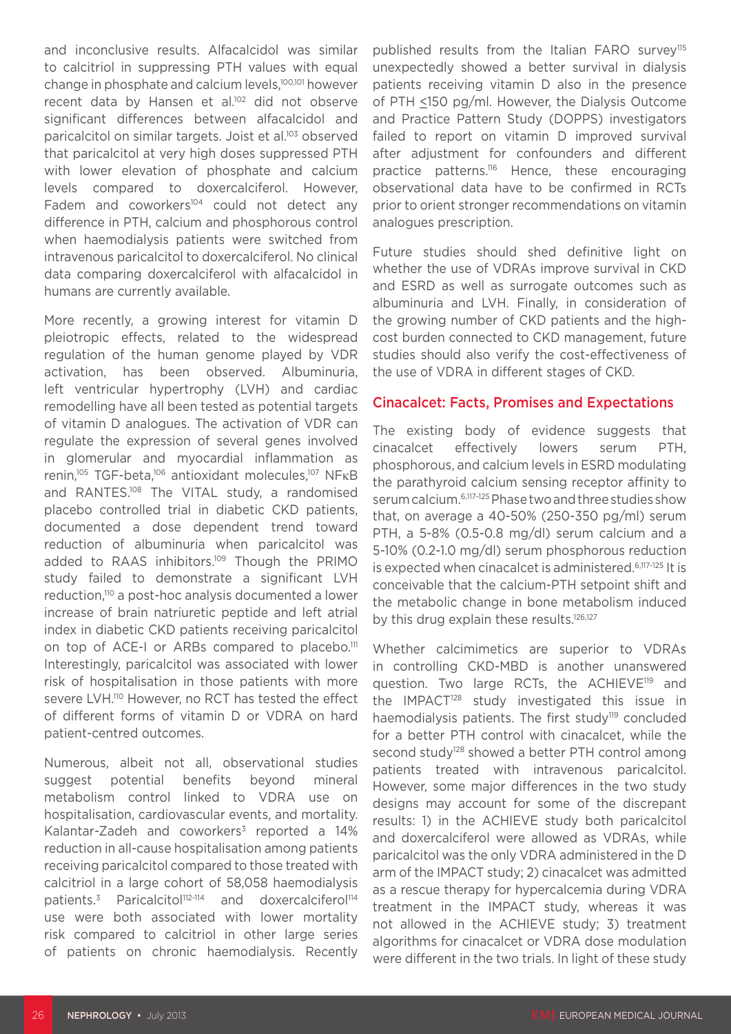and inconclusive results. Alfacalcidol was similar to calcitriol in suppressing PTH values with equal change in phosphate and calcium levels,100,101 however recent data by Hansen et al.<sup>102</sup> did not observe significant differences between alfacalcidol and paricalcitol on similar targets. Joist et al.103 observed that paricalcitol at very high doses suppressed PTH with lower elevation of phosphate and calcium levels compared to doxercalciferol. However, Fadem and coworkers<sup>104</sup> could not detect any difference in PTH, calcium and phosphorous control when haemodialysis patients were switched from intravenous paricalcitol to doxercalciferol. No clinical data comparing doxercalciferol with alfacalcidol in humans are currently available.

More recently, a growing interest for vitamin D pleiotropic effects, related to the widespread regulation of the human genome played by VDR activation, has been observed. Albuminuria, left ventricular hypertrophy (LVH) and cardiac remodelling have all been tested as potential targets of vitamin D analogues. The activation of VDR can regulate the expression of several genes involved in glomerular and myocardial inflammation as renin,<sup>105</sup> TGF-beta,<sup>106</sup> antioxidant molecules,<sup>107</sup> NFκB and RANTES.108 The VITAL study, a randomised placebo controlled trial in diabetic CKD patients, documented a dose dependent trend toward reduction of albuminuria when paricalcitol was added to RAAS inhibitors.109 Though the PRIMO study failed to demonstrate a significant LVH reduction,110 a post-hoc analysis documented a lower increase of brain natriuretic peptide and left atrial index in diabetic CKD patients receiving paricalcitol on top of ACE-I or ARBs compared to placebo.<sup>111</sup> Interestingly, paricalcitol was associated with lower risk of hospitalisation in those patients with more severe LVH.<sup>110</sup> However, no RCT has tested the effect of different forms of vitamin D or VDRA on hard patient-centred outcomes.

Numerous, albeit not all, observational studies suggest potential benefits beyond mineral metabolism control linked to VDRA use on hospitalisation, cardiovascular events, and mortality. Kalantar-Zadeh and coworkers $3$  reported a 14% reduction in all-cause hospitalisation among patients receiving paricalcitol compared to those treated with calcitriol in a large cohort of 58,058 haemodialysis patients.<sup>3</sup> Paricalcitol<sup>112-114</sup> and doxercalciferol<sup>114</sup> use were both associated with lower mortality risk compared to calcitriol in other large series of patients on chronic haemodialysis. Recently

published results from the Italian FARO survey<sup>115</sup> unexpectedly showed a better survival in dialysis patients receiving vitamin D also in the presence of PTH <150 pg/ml. However, the Dialysis Outcome and Practice Pattern Study (DOPPS) investigators failed to report on vitamin D improved survival after adjustment for confounders and different practice patterns.116 Hence, these encouraging observational data have to be confirmed in RCTs prior to orient stronger recommendations on vitamin analogues prescription.

Future studies should shed definitive light on whether the use of VDRAs improve survival in CKD and ESRD as well as surrogate outcomes such as albuminuria and LVH. Finally, in consideration of the growing number of CKD patients and the highcost burden connected to CKD management, future studies should also verify the cost-effectiveness of the use of VDRA in different stages of CKD.

#### Cinacalcet: Facts, Promises and Expectations

The existing body of evidence suggests that cinacalcet effectively lowers serum PTH, phosphorous, and calcium levels in ESRD modulating the parathyroid calcium sensing receptor affinity to serum calcium.6,117-125 Phase two and three studies show that, on average a 40-50% (250-350 pg/ml) serum PTH, a 5-8% (0.5-0.8 mg/dl) serum calcium and a 5-10% (0.2-1.0 mg/dl) serum phosphorous reduction is expected when cinacalcet is administered.6,117-125 It is conceivable that the calcium-PTH setpoint shift and the metabolic change in bone metabolism induced by this drug explain these results.<sup>126,127</sup>

Whether calcimimetics are superior to VDRAs in controlling CKD-MBD is another unanswered question. Two large RCTs, the ACHIEVE<sup>119</sup> and the IMPACT<sup>128</sup> study investigated this issue in haemodialysis patients. The first study<sup>119</sup> concluded for a better PTH control with cinacalcet, while the second study<sup>128</sup> showed a better PTH control among patients treated with intravenous paricalcitol. However, some major differences in the two study designs may account for some of the discrepant results: 1) in the ACHIEVE study both paricalcitol and doxercalciferol were allowed as VDRAs, while paricalcitol was the only VDRA administered in the D arm of the IMPACT study; 2) cinacalcet was admitted as a rescue therapy for hypercalcemia during VDRA treatment in the IMPACT study, whereas it was not allowed in the ACHIEVE study; 3) treatment algorithms for cinacalcet or VDRA dose modulation were different in the two trials. In light of these study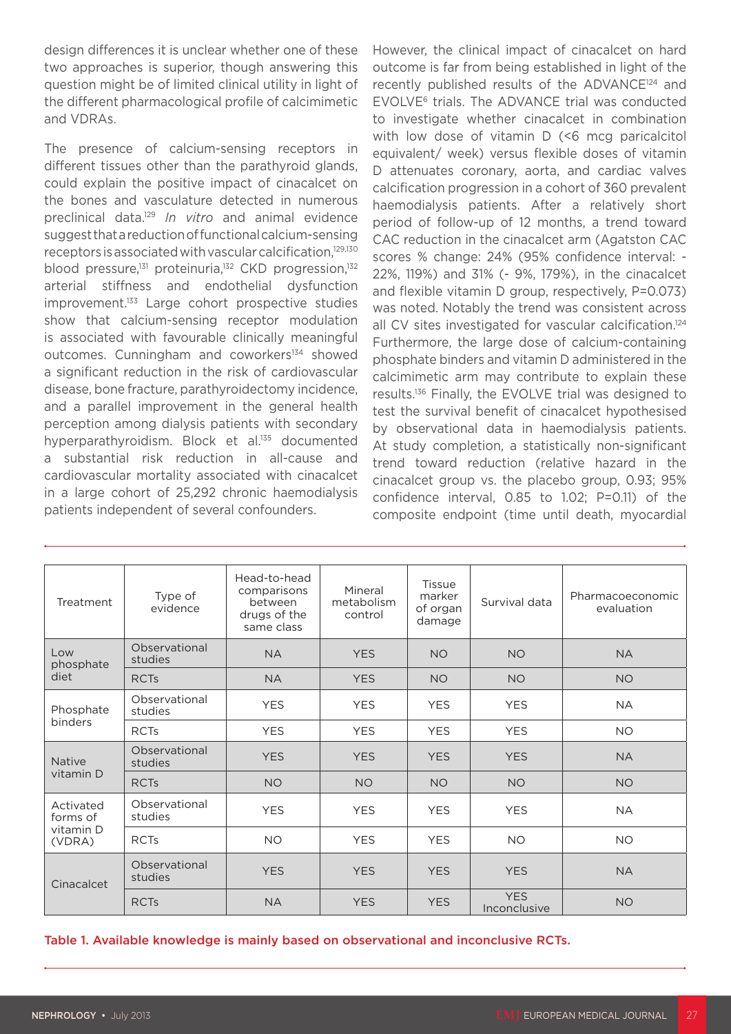design differences it is unclear whether one of these two approaches is superior, though answering this question might be of limited clinical utility in light of the different pharmacological profile of calcimimetic and VDRAs.

The presence of calcium-sensing receptors in different tissues other than the parathyroid glands, could explain the positive impact of cinacalcet on the bones and vasculature detected in numerous preclinical data.129 *In vitro* and animal evidence suggest that a reduction of functional calcium-sensing receptors is associated with vascular calcification,<sup>129,130</sup> blood pressure,<sup>131</sup> proteinuria,<sup>132</sup> CKD progression,<sup>132</sup> arterial stiffness and endothelial dysfunction improvement.<sup>133</sup> Large cohort prospective studies show that calcium-sensing receptor modulation is associated with favourable clinically meaningful outcomes. Cunningham and coworkers<sup>134</sup> showed a significant reduction in the risk of cardiovascular disease, bone fracture, parathyroidectomy incidence, and a parallel improvement in the general health perception among dialysis patients with secondary hyperparathyroidism. Block et al.<sup>135</sup> documented a substantial risk reduction in all-cause and cardiovascular mortality associated with cinacalcet in a large cohort of 25,292 chronic haemodialysis patients independent of several confounders.

However, the clinical impact of cinacalcet on hard outcome is far from being established in light of the recently published results of the ADVANCE124 and EVOLVE6 trials. The ADVANCE trial was conducted to investigate whether cinacalcet in combination with low dose of vitamin D (<6 mcg paricalcitol equivalent/ week) versus flexible doses of vitamin D attenuates coronary, aorta, and cardiac valves calcification progression in a cohort of 360 prevalent haemodialysis patients. After a relatively short period of follow-up of 12 months, a trend toward CAC reduction in the cinacalcet arm (Agatston CAC scores % change: 24% (95% confidence interval: - 22%, 119%) and 31% (- 9%, 179%), in the cinacalcet and flexible vitamin D group, respectively, P=0.073) was noted. Notably the trend was consistent across all CV sites investigated for vascular calcification.<sup>124</sup> Furthermore, the large dose of calcium-containing phosphate binders and vitamin D administered in the calcimimetic arm may contribute to explain these results.136 Finally, the EVOLVE trial was designed to test the survival benefit of cinacalcet hypothesised by observational data in haemodialysis patients. At study completion, a statistically non-significant trend toward reduction (relative hazard in the cinacalcet group vs. the placebo group, 0.93; 95% confidence interval, 0.85 to 1.02; P=0.11) of the composite endpoint (time until death, myocardial

| Treatment                                    | Type of<br>evidence      | Head-to-head<br>comparisons<br>between<br>drugs of the<br>same class | Mineral<br>metabolism<br>control | Tissue<br>marker<br>of organ<br>damage | Survival data              | Pharmacoeconomic<br>evaluation |
|----------------------------------------------|--------------------------|----------------------------------------------------------------------|----------------------------------|----------------------------------------|----------------------------|--------------------------------|
| Low<br>phosphate<br>diet                     | Observational<br>studies | <b>NA</b>                                                            | <b>YES</b>                       | <b>NO</b>                              | <b>NO</b>                  | <b>NA</b>                      |
|                                              | <b>RCTs</b>              | <b>NA</b>                                                            | <b>YES</b>                       | <b>NO</b>                              | <b>NO</b>                  | <b>NO</b>                      |
| Phosphate<br>binders                         | Observational<br>studies | <b>YES</b>                                                           | <b>YES</b>                       | <b>YES</b>                             | <b>YES</b>                 | <b>NA</b>                      |
|                                              | <b>RCTs</b>              | <b>YES</b>                                                           | <b>YES</b>                       | <b>YES</b>                             | <b>YES</b>                 | <b>NO</b>                      |
| Native<br>vitamin D                          | Observational<br>studies | <b>YES</b>                                                           | <b>YES</b>                       | <b>YES</b>                             | <b>YES</b>                 | <b>NA</b>                      |
|                                              | <b>RCTs</b>              | <b>NO</b>                                                            | <b>NO</b>                        | <b>NO</b>                              | <b>NO</b>                  | <b>NO</b>                      |
| Activated<br>forms of<br>vitamin D<br>(VDRA) | Observational<br>studies | <b>YES</b>                                                           | <b>YES</b>                       | <b>YES</b>                             | <b>YES</b>                 | <b>NA</b>                      |
|                                              | <b>RCTs</b>              | <b>NO</b>                                                            | <b>YES</b>                       | <b>YES</b>                             | <b>NO</b>                  | <b>NO</b>                      |
| Cinacalcet                                   | Observational<br>studies | <b>YES</b>                                                           | <b>YES</b>                       | <b>YES</b>                             | <b>YES</b>                 | <b>NA</b>                      |
|                                              | <b>RCTs</b>              | <b>NA</b>                                                            | <b>YES</b>                       | <b>YES</b>                             | <b>YES</b><br>Inconclusive | <b>NO</b>                      |

Table 1. Available knowledge is mainly based on observational and inconclusive RCTs.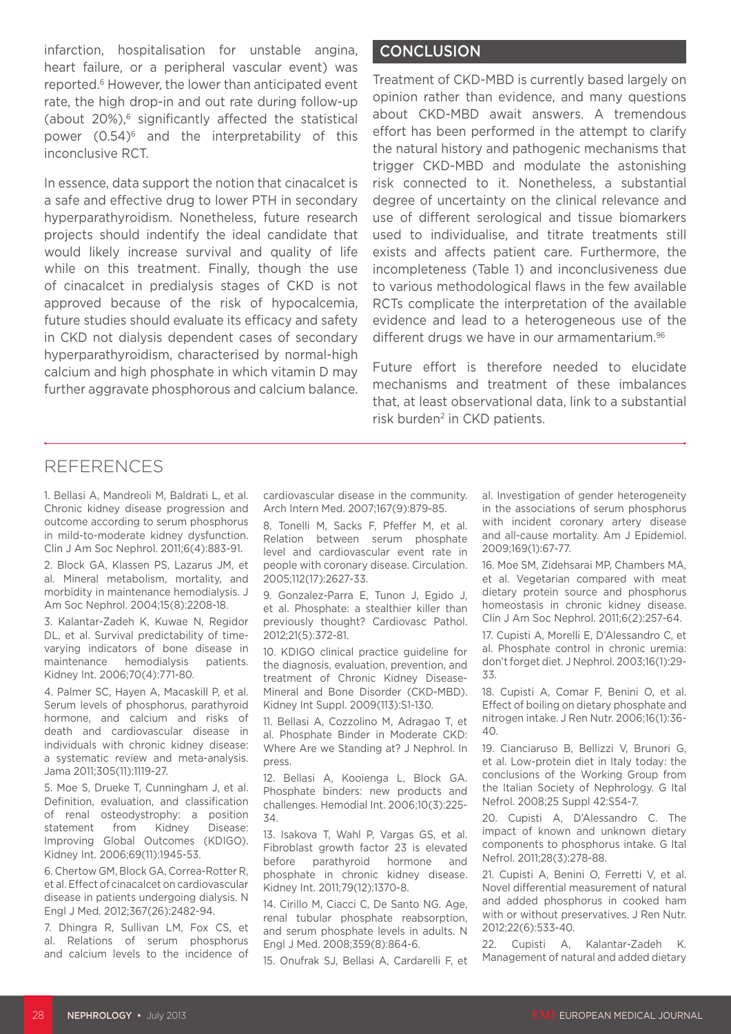infarction, hospitalisation for unstable angina, heart failure, or a peripheral vascular event) was reported.6 However, the lower than anticipated event rate, the high drop-in and out rate during follow-up (about  $20\%$ ),<sup>6</sup> significantly affected the statistical power (0.54)<sup>6</sup> and the interpretability of this inconclusive RCT.

In essence, data support the notion that cinacalcet is a safe and effective drug to lower PTH in secondary hyperparathyroidism. Nonetheless, future research projects should indentify the ideal candidate that would likely increase survival and quality of life while on this treatment. Finally, though the use of cinacalcet in predialysis stages of CKD is not approved because of the risk of hypocalcemia, future studies should evaluate its efficacy and safety in CKD not dialysis dependent cases of secondary hyperparathyroidism, characterised by normal-high calcium and high phosphate in which vitamin D may further aggravate phosphorous and calcium balance.

#### **CONCLUSION**

Treatment of CKD-MBD is currently based largely on opinion rather than evidence, and many questions about CKD-MBD await answers. A tremendous effort has been performed in the attempt to clarify the natural history and pathogenic mechanisms that trigger CKD-MBD and modulate the astonishing risk connected to it. Nonetheless, a substantial degree of uncertainty on the clinical relevance and use of different serological and tissue biomarkers used to individualise, and titrate treatments still exists and affects patient care. Furthermore, the incompleteness (Table 1) and inconclusiveness due to various methodological flaws in the few available RCTs complicate the interpretation of the available evidence and lead to a heterogeneous use of the different drugs we have in our armamentarium.<sup>96</sup>

Future effort is therefore needed to elucidate mechanisms and treatment of these imbalances that, at least observational data, link to a substantial risk burden<sup>2</sup> in CKD patients.

### REFERENCES

1. Bellasi A, Mandreoli M, Baldrati L, et al. Chronic kidney disease progression and outcome according to serum phosphorus in mild-to-moderate kidney dysfunction. Clin J Am Soc Nephrol. 2011;6(4):883-91.

2. Block GA, Klassen PS, Lazarus JM, et al. Mineral metabolism, mortality, and morbidity in maintenance hemodialysis. J Am Soc Nephrol. 2004;15(8):2208-18.

3. Kalantar-Zadeh K, Kuwae N, Regidor DL, et al. Survival predictability of timevarying indicators of bone disease in maintenance hemodialysis patients. Kidney Int. 2006;70(4):771-80.

4. Palmer SC, Hayen A, Macaskill P, et al. Serum levels of phosphorus, parathyroid hormone, and calcium and risks of death and cardiovascular disease in individuals with chronic kidney disease: a systematic review and meta-analysis. Jama 2011;305(11):1119-27.

5. Moe S, Drueke T, Cunningham J, et al. Definition, evaluation, and classification of renal osteodystrophy: a position<br>statement from Kidney Disease: statement from Kidney Disease: Improving Global Outcomes (KDIGO). Kidney Int. 2006;69(11):1945-53.

6. Chertow GM, Block GA, Correa-Rotter R, et al. Effect of cinacalcet on cardiovascular disease in patients undergoing dialysis. N Engl J Med. 2012;367(26):2482-94.

7. Dhingra R, Sullivan LM, Fox CS, et al. Relations of serum phosphorus and calcium levels to the incidence of cardiovascular disease in the community. Arch Intern Med. 2007;167(9):879-85.

8. Tonelli M, Sacks F, Pfeffer M, et al. Relation between serum phosphate level and cardiovascular event rate in people with coronary disease. Circulation. 2005;112(17):2627-33.

9. Gonzalez-Parra E, Tunon J, Egido J, et al. Phosphate: a stealthier killer than previously thought? Cardiovasc Pathol. 2012;21(5):372-81.

10. KDIGO clinical practice guideline for the diagnosis, evaluation, prevention, and treatment of Chronic Kidney Disease-Mineral and Bone Disorder (CKD-MBD). Kidney Int Suppl. 2009(113):S1-130.

11. Bellasi A, Cozzolino M, Adragao T, et al. Phosphate Binder in Moderate CKD: Where Are we Standing at? J Nephrol. In press.

12. Bellasi A, Kooienga L, Block GA. Phosphate binders: new products and challenges. Hemodial Int. 2006;10(3):225- 34.

13. Isakova T, Wahl P, Vargas GS, et al. Fibroblast growth factor 23 is elevated before parathyroid hormone and phosphate in chronic kidney disease. Kidney Int. 2011;79(12):1370-8.

14. Cirillo M, Ciacci C, De Santo NG. Age, renal tubular phosphate reabsorption, and serum phosphate levels in adults. N Engl J Med. 2008;359(8):864-6.

15. Onufrak SJ, Bellasi A, Cardarelli F, et

al. Investigation of gender heterogeneity in the associations of serum phosphorus with incident coronary artery disease and all-cause mortality. Am J Epidemiol. 2009;169(1):67-77.

16. Moe SM, Zidehsarai MP, Chambers MA, et al. Vegetarian compared with meat dietary protein source and phosphorus homeostasis in chronic kidney disease. Clin J Am Soc Nephrol. 2011;6(2):257-64.

17. Cupisti A, Morelli E, D'Alessandro C, et al. Phosphate control in chronic uremia: don't forget diet. J Nephrol. 2003;16(1):29- 33.

18. Cupisti A, Comar F, Benini O, et al. Effect of boiling on dietary phosphate and nitrogen intake. J Ren Nutr. 2006;16(1):36- 40.

19. Cianciaruso B, Bellizzi V, Brunori G, et al. Low-protein diet in Italy today: the conclusions of the Working Group from the Italian Society of Nephrology. G Ital Nefrol. 2008;25 Suppl 42:S54-7.

20. Cupisti A, D'Alessandro C. The impact of known and unknown dietary components to phosphorus intake. G Ital Nefrol. 2011;28(3):278-88.

21. Cupisti A, Benini O, Ferretti V, et al. Novel differential measurement of natural and added phosphorus in cooked ham with or without preservatives. J Ren Nutr. 2012;22(6):533-40.

22. Cupisti A, Kalantar-Zadeh K. Management of natural and added dietary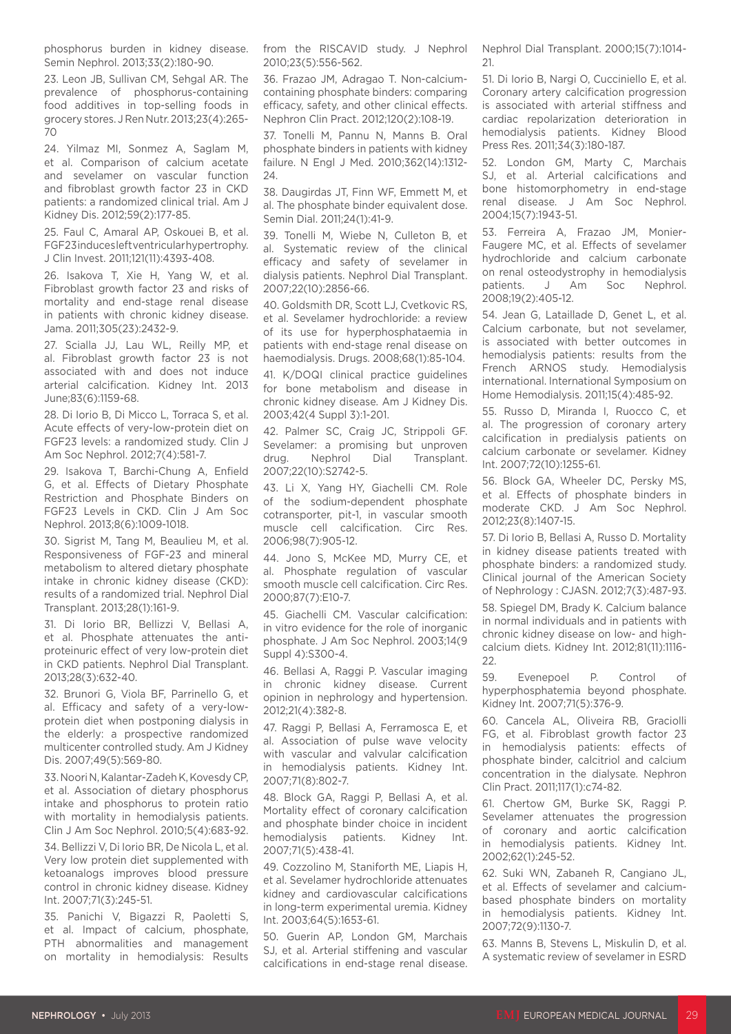phosphorus burden in kidney disease. Semin Nephrol. 2013;33(2):180-90.

23. Leon JB, Sullivan CM, Sehgal AR. The prevalence of phosphorus-containing food additives in top-selling foods in grocery stores. J Ren Nutr. 2013;23(4):265- 70

24. Yilmaz MI, Sonmez A, Saglam M, et al. Comparison of calcium acetate and sevelamer on vascular function and fibroblast growth factor 23 in CKD patients: a randomized clinical trial. Am J Kidney Dis. 2012;59(2):177-85.

25. Faul C, Amaral AP, Oskouei B, et al. FGF23 induces left ventricular hypertrophy. J Clin Invest. 2011;121(11):4393-408.

26. Isakova T, Xie H, Yang W, et al. Fibroblast growth factor 23 and risks of mortality and end-stage renal disease in patients with chronic kidney disease. Jama. 2011;305(23):2432-9.

27. Scialla JJ, Lau WL, Reilly MP, et al. Fibroblast growth factor 23 is not associated with and does not induce arterial calcification. Kidney Int. 2013 June;83(6):1159-68.

28. Di Iorio B, Di Micco L, Torraca S, et al. Acute effects of very-low-protein diet on FGF23 levels: a randomized study. Clin J Am Soc Nephrol. 2012;7(4):581-7.

29. Isakova T, Barchi-Chung A, Enfield G, et al. Effects of Dietary Phosphate Restriction and Phosphate Binders on FGF23 Levels in CKD. Clin J Am Soc Nephrol. 2013;8(6):1009-1018.

30. Sigrist M, Tang M, Beaulieu M, et al. Responsiveness of FGF-23 and mineral metabolism to altered dietary phosphate intake in chronic kidney disease (CKD): results of a randomized trial. Nephrol Dial Transplant. 2013;28(1):161-9.

31. Di Iorio BR, Bellizzi V, Bellasi A, et al. Phosphate attenuates the antiproteinuric effect of very low-protein diet in CKD patients. Nephrol Dial Transplant. 2013;28(3):632-40.

32. Brunori G, Viola BF, Parrinello G, et al. Efficacy and safety of a very-lowprotein diet when postponing dialysis in the elderly: a prospective randomized multicenter controlled study. Am J Kidney Dis. 2007;49(5):569-80.

33. Noori N, Kalantar-Zadeh K, Kovesdy CP, et al. Association of dietary phosphorus intake and phosphorus to protein ratio with mortality in hemodialysis patients. Clin J Am Soc Nephrol. 2010;5(4):683-92.

34. Bellizzi V, Di Iorio BR, De Nicola L, et al. Very low protein diet supplemented with ketoanalogs improves blood pressure control in chronic kidney disease. Kidney Int. 2007;71(3):245-51.

35. Panichi V, Bigazzi R, Paoletti S, et al. Impact of calcium, phosphate, PTH abnormalities and management on mortality in hemodialysis: Results

from the RISCAVID study. J Nephrol 2010;23(5):556-562.

36. Frazao JM, Adragao T. Non-calciumcontaining phosphate binders: comparing efficacy, safety, and other clinical effects. Nephron Clin Pract. 2012;120(2):108-19.

37. Tonelli M, Pannu N, Manns B. Oral phosphate binders in patients with kidney failure. N Engl J Med. 2010;362(14):1312- 24.

38. Daugirdas JT, Finn WF, Emmett M, et al. The phosphate binder equivalent dose. Semin Dial. 2011;24(1):41-9.

39. Tonelli M, Wiebe N, Culleton B, et al. Systematic review of the clinical efficacy and safety of sevelamer in dialysis patients. Nephrol Dial Transplant. 2007;22(10):2856-66.

40. Goldsmith DR, Scott LJ, Cvetkovic RS, et al. Sevelamer hydrochloride: a review of its use for hyperphosphataemia in patients with end-stage renal disease on haemodialysis. Drugs. 2008;68(1):85-104.

41. K/DOQI clinical practice guidelines for bone metabolism and disease in chronic kidney disease. Am J Kidney Dis. 2003;42(4 Suppl 3):1-201.

42. Palmer SC, Craig JC, Strippoli GF. Sevelamer: a promising but unproven drug. Nephrol Dial Transplant. 2007;22(10):S2742-5.

43. Li X, Yang HY, Giachelli CM. Role of the sodium-dependent phosphate cotransporter, pit-1, in vascular smooth muscle cell calcification. Circ Res. 2006;98(7):905-12.

44. Jono S, McKee MD, Murry CE, et al. Phosphate regulation of vascular smooth muscle cell calcification. Circ Res. 2000;87(7):E10-7.

45. Giachelli CM. Vascular calcification: in vitro evidence for the role of inorganic phosphate. J Am Soc Nephrol. 2003;14(9 Suppl 4):S300-4.

46. Bellasi A, Raggi P. Vascular imaging in chronic kidney disease. Current opinion in nephrology and hypertension. 2012;21(4):382-8.

47. Raggi P, Bellasi A, Ferramosca E, et al. Association of pulse wave velocity with vascular and valvular calcification in hemodialysis patients. Kidney Int. 2007;71(8):802-7.

48. Block GA, Raggi P, Bellasi A, et al. Mortality effect of coronary calcification and phosphate binder choice in incident hemodialysis patients. Kidney Int. 2007;71(5):438-41.

49. Cozzolino M, Staniforth ME, Liapis H, et al. Sevelamer hydrochloride attenuates kidney and cardiovascular calcifications in long-term experimental uremia. Kidney Int. 2003;64(5):1653-61.

50. Guerin AP, London GM, Marchais SJ, et al. Arterial stiffening and vascular calcifications in end-stage renal disease. Nephrol Dial Transplant. 2000;15(7):1014- 21.

51. Di Iorio B, Nargi O, Cucciniello E, et al. Coronary artery calcification progression is associated with arterial stiffness and cardiac repolarization deterioration in hemodialysis patients. Kidney Blood Press Res. 2011;34(3):180-187.

52. London GM, Marty C, Marchais SJ, et al. Arterial calcifications and bone histomorphometry in end-stage renal disease. J Am Soc Nephrol. 2004;15(7):1943-51.

53. Ferreira A, Frazao JM, Monier-Faugere MC, et al. Effects of sevelamer hydrochloride and calcium carbonate on renal osteodystrophy in hemodialysis patients. J Am Soc Nephrol. 2008;19(2):405-12.

54. Jean G, Lataillade D, Genet L, et al. Calcium carbonate, but not sevelamer, is associated with better outcomes in hemodialysis patients: results from the French ARNOS study. Hemodialysis international. International Symposium on Home Hemodialysis. 2011;15(4):485-92.

55. Russo D, Miranda I, Ruocco C, et al. The progression of coronary artery calcification in predialysis patients on calcium carbonate or sevelamer. Kidney Int. 2007;72(10):1255-61.

56. Block GA, Wheeler DC, Persky MS, et al. Effects of phosphate binders in moderate CKD. J Am Soc Nephrol. 2012;23(8):1407-15.

57. Di Iorio B, Bellasi A, Russo D. Mortality in kidney disease patients treated with phosphate binders: a randomized study. Clinical journal of the American Society of Nephrology : CJASN. 2012;7(3):487-93.

58. Spiegel DM, Brady K. Calcium balance in normal individuals and in patients with chronic kidney disease on low- and highcalcium diets. Kidney Int. 2012;81(11):1116- 22.

59. Evenepoel P. Control of hyperphosphatemia beyond phosphate. Kidney Int. 2007;71(5):376-9.

60. Cancela AL, Oliveira RB, Graciolli FG, et al. Fibroblast growth factor 23 in hemodialysis patients: effects of phosphate binder, calcitriol and calcium concentration in the dialysate. Nephron Clin Pract. 2011;117(1):c74-82.

61. Chertow GM, Burke SK, Raggi P. Sevelamer attenuates the progression of coronary and aortic calcification in hemodialysis patients. Kidney Int. 2002;62(1):245-52.

62. Suki WN, Zabaneh R, Cangiano JL, et al. Effects of sevelamer and calciumbased phosphate binders on mortality in hemodialysis patients. Kidney Int. 2007;72(9):1130-7.

63. Manns B, Stevens L, Miskulin D, et al. A systematic review of sevelamer in ESRD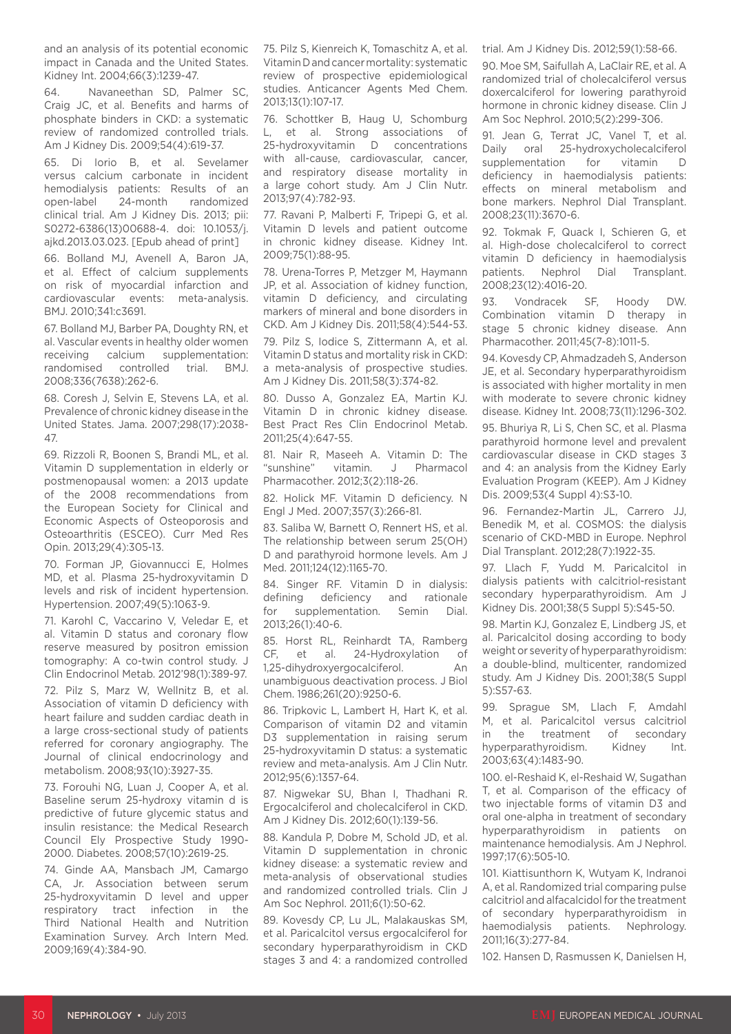and an analysis of its potential economic impact in Canada and the United States. Kidney Int. 2004;66(3):1239-47.

64. Navaneethan SD, Palmer SC, Craig JC, et al. Benefits and harms of phosphate binders in CKD: a systematic review of randomized controlled trials. Am J Kidney Dis. 2009;54(4):619-37.

65. Di Iorio B, et al. Sevelamer versus calcium carbonate in incident hemodialysis patients: Results of an open-label 24-month randomized clinical trial. Am J Kidney Dis. 2013; pii: S0272-6386(13)00688-4. doi: 10.1053/j. ajkd.2013.03.023. [Epub ahead of print]

66. Bolland MJ, Avenell A, Baron JA, et al. Effect of calcium supplements on risk of myocardial infarction and cardiovascular events: meta-analysis. BMJ. 2010;341:c3691.

67. Bolland MJ, Barber PA, Doughty RN, et al. Vascular events in healthy older women receiving calcium supplementation: randomised controlled trial. BMJ. 2008;336(7638):262-6.

68. Coresh J, Selvin E, Stevens LA, et al. Prevalence of chronic kidney disease in the United States. Jama. 2007;298(17):2038- 47.

69. Rizzoli R, Boonen S, Brandi ML, et al. Vitamin D supplementation in elderly or postmenopausal women: a 2013 update of the 2008 recommendations from the European Society for Clinical and Economic Aspects of Osteoporosis and Osteoarthritis (ESCEO). Curr Med Res Opin. 2013;29(4):305-13.

70. Forman JP, Giovannucci E, Holmes MD, et al. Plasma 25-hydroxyvitamin D levels and risk of incident hypertension. Hypertension. 2007;49(5):1063-9.

71. Karohl C, Vaccarino V, Veledar E, et al. Vitamin D status and coronary flow reserve measured by positron emission tomography: A co-twin control study. J Clin Endocrinol Metab. 2012'98(1):389-97.

72. Pilz S, Marz W, Wellnitz B, et al. Association of vitamin D deficiency with heart failure and sudden cardiac death in a large cross-sectional study of patients referred for coronary angiography. The Journal of clinical endocrinology and metabolism. 2008;93(10):3927-35.

73. Forouhi NG, Luan J, Cooper A, et al. Baseline serum 25-hydroxy vitamin d is predictive of future glycemic status and insulin resistance: the Medical Research Council Ely Prospective Study 1990- 2000. Diabetes. 2008;57(10):2619-25.

74. Ginde AA, Mansbach JM, Camargo CA, Jr. Association between serum 25-hydroxyvitamin D level and upper respiratory tract infection in the Third National Health and Nutrition Examination Survey. Arch Intern Med. 2009;169(4):384-90.

75. Pilz S, Kienreich K, Tomaschitz A, et al. Vitamin D and cancer mortality: systematic review of prospective epidemiological studies. Anticancer Agents Med Chem. 2013;13(1):107-17.

76. Schottker B, Haug U, Schomburg L, et al. Strong associations of 25-hydroxyvitamin D concentrations with all-cause, cardiovascular, cancer, and respiratory disease mortality in a large cohort study. Am J Clin Nutr. 2013;97(4):782-93.

77. Ravani P, Malberti F, Tripepi G, et al. Vitamin D levels and patient outcome in chronic kidney disease. Kidney Int. 2009;75(1):88-95.

78. Urena-Torres P, Metzger M, Haymann JP, et al. Association of kidney function, vitamin D deficiency, and circulating markers of mineral and bone disorders in CKD. Am J Kidney Dis. 2011;58(4):544-53.

79. Pilz S, Iodice S, Zittermann A, et al. Vitamin D status and mortality risk in CKD: a meta-analysis of prospective studies. Am J Kidney Dis. 2011;58(3):374-82.

80. Dusso A, Gonzalez EA, Martin KJ. Vitamin D in chronic kidney disease. Best Pract Res Clin Endocrinol Metab. 2011;25(4):647-55.

81. Nair R, Maseeh A. Vitamin D: The<br>"sunshine" vitamin. J Pharmacol vitamin. J Pharmacol Pharmacother. 2012;3(2):118-26.

82. Holick MF. Vitamin D deficiency. N Engl J Med. 2007;357(3):266-81.

83. Saliba W, Barnett O, Rennert HS, et al. The relationship between serum 25(OH) D and parathyroid hormone levels. Am J Med. 2011;124(12):1165-70.

84. Singer RF. Vitamin D in dialysis: defining deficiency and rationale for supplementation. Semin Dial. 2013;26(1):40-6.

85. Horst RL, Reinhardt TA, Ramberg CF, et al. 24-Hydroxylation of 1,25-dihydroxyergocalciferol. An unambiguous deactivation process. J Biol Chem. 1986;261(20):9250-6.

86. Tripkovic L, Lambert H, Hart K, et al. Comparison of vitamin D2 and vitamin D3 supplementation in raising serum 25-hydroxyvitamin D status: a systematic review and meta-analysis. Am J Clin Nutr. 2012;95(6):1357-64.

87. Nigwekar SU, Bhan I, Thadhani R. Ergocalciferol and cholecalciferol in CKD. Am J Kidney Dis. 2012;60(1):139-56.

88. Kandula P, Dobre M, Schold JD, et al. Vitamin D supplementation in chronic kidney disease: a systematic review and meta-analysis of observational studies and randomized controlled trials. Clin J Am Soc Nephrol. 2011;6(1):50-62.

89. Kovesdy CP, Lu JL, Malakauskas SM, et al. Paricalcitol versus ergocalciferol for secondary hyperparathyroidism in CKD stages 3 and 4: a randomized controlled trial. Am J Kidney Dis. 2012;59(1):58-66.

90. Moe SM, Saifullah A, LaClair RE, et al. A randomized trial of cholecalciferol versus doxercalciferol for lowering parathyroid hormone in chronic kidney disease. Clin J Am Soc Nephrol. 2010;5(2):299-306.

91. Jean G, Terrat JC, Vanel T, et al. Daily oral 25-hydroxycholecalciferol supplementation for vitamin D deficiency in haemodialysis patients: effects on mineral metabolism and bone markers. Nephrol Dial Transplant. 2008;23(11):3670-6.

92. Tokmak F, Quack I, Schieren G, et al. High-dose cholecalciferol to correct vitamin D deficiency in haemodialysis patients. Nephrol Dial Transplant. 2008;23(12):4016-20.

93. Vondracek SF, Hoody DW. Combination vitamin D therapy in stage 5 chronic kidney disease. Ann Pharmacother. 2011;45(7-8):1011-5.

94. Kovesdy CP, Ahmadzadeh S, Anderson JE, et al. Secondary hyperparathyroidism is associated with higher mortality in men with moderate to severe chronic kidney disease. Kidney Int. 2008;73(11):1296-302.

95. Bhuriya R, Li S, Chen SC, et al. Plasma parathyroid hormone level and prevalent cardiovascular disease in CKD stages 3 and 4: an analysis from the Kidney Early Evaluation Program (KEEP). Am J Kidney Dis. 2009;53(4 Suppl 4):S3-10.

96. Fernandez-Martin JL, Carrero JJ, Benedik M, et al. COSMOS: the dialysis scenario of CKD-MBD in Europe. Nephrol Dial Transplant. 2012;28(7):1922-35.

97. Llach F, Yudd M. Paricalcitol in dialysis patients with calcitriol-resistant secondary hyperparathyroidism. Am J Kidney Dis. 2001;38(5 Suppl 5):S45-50.

98. Martin KJ, Gonzalez E, Lindberg JS, et al. Paricalcitol dosing according to body weight or severity of hyperparathyroidism: a double-blind, multicenter, randomized study. Am J Kidney Dis. 2001;38(5 Suppl 5):S57-63.

99. Sprague SM, Llach F, Amdahl M, et al. Paricalcitol versus calcitriol in the treatment of secondary hyperparathyroidism. Kidney Int. 2003;63(4):1483-90.

100. el-Reshaid K, el-Reshaid W, Sugathan T, et al. Comparison of the efficacy of two injectable forms of vitamin D3 and oral one-alpha in treatment of secondary hyperparathyroidism in patients on maintenance hemodialysis. Am J Nephrol. 1997;17(6):505-10.

101. Kiattisunthorn K, Wutyam K, Indranoi A, et al. Randomized trial comparing pulse calcitriol and alfacalcidol for the treatment of secondary hyperparathyroidism in haemodialysis patients. Nephrology. 2011;16(3):277-84.

102. Hansen D, Rasmussen K, Danielsen H,